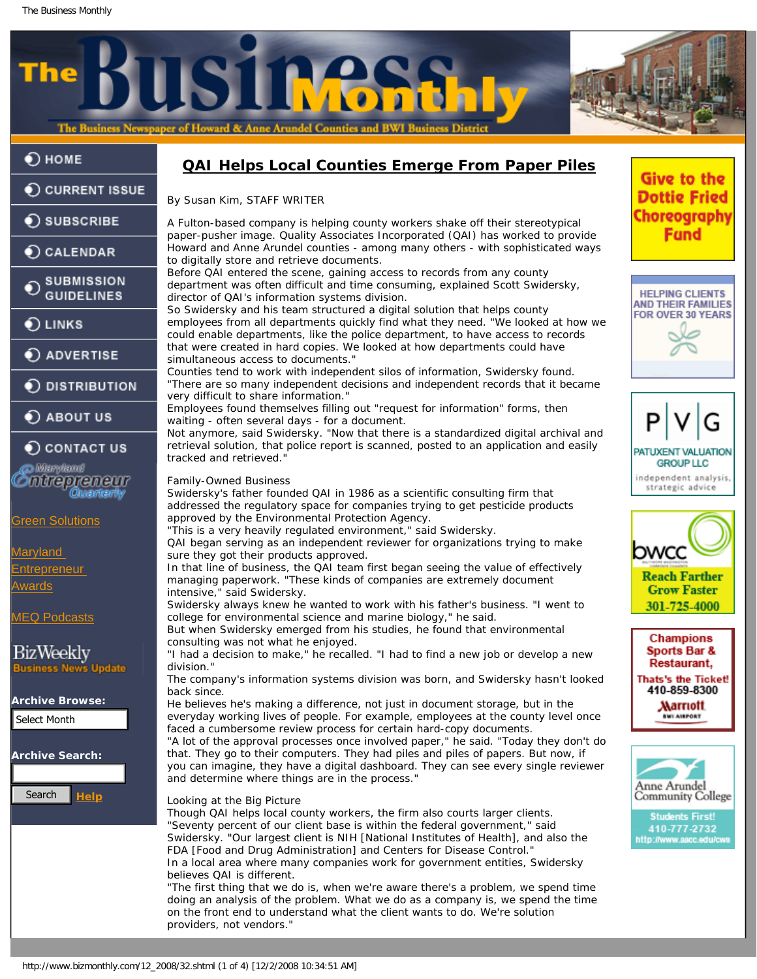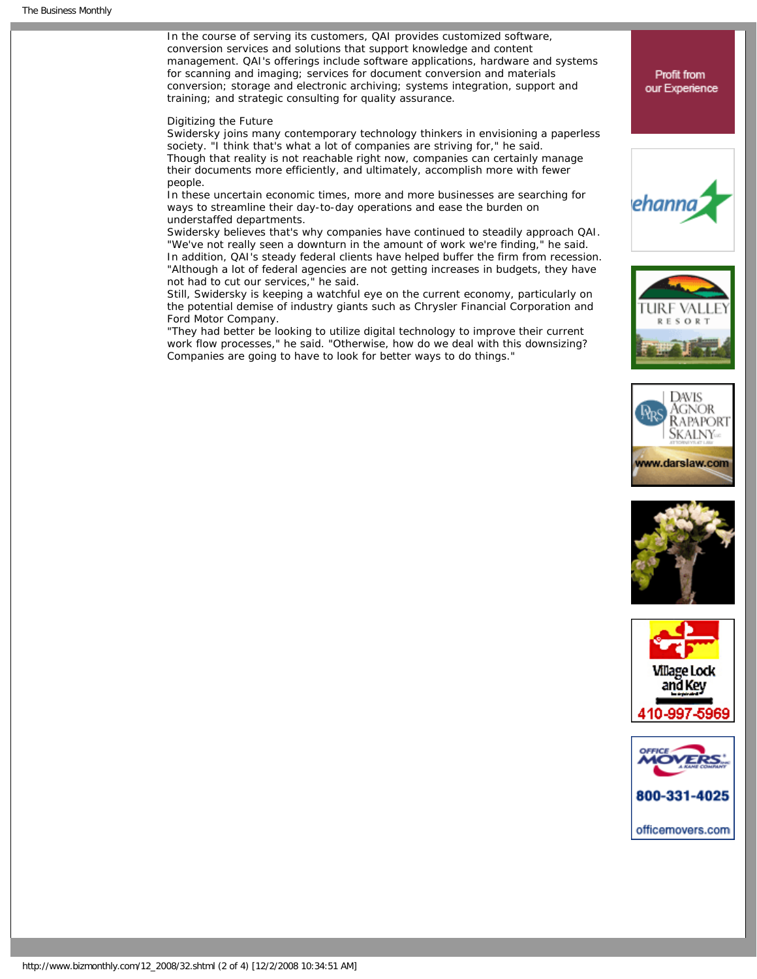In the course of serving its customers, QAI provides customized software, conversion services and solutions that support knowledge and content management. QAI's offerings include software applications, hardware and systems for scanning and imaging; services for document conversion and materials conversion; storage and electronic archiving; systems integration, support and training; and strategic consulting for quality assurance.

## Digitizing the Future

Swidersky joins many contemporary technology thinkers in envisioning a paperless society. "I think that's what a lot of companies are striving for," he said. Though that reality is not reachable right now, companies can certainly manage their documents more efficiently, and ultimately, accomplish more with fewer people.

In these uncertain economic times, more and more businesses are searching for ways to streamline their day-to-day operations and ease the burden on understaffed departments.

Swidersky believes that's why companies have continued to steadily approach QAI. "We've not really seen a downturn in the amount of work we're finding," he said. In addition, QAI's steady federal clients have helped buffer the firm from recession. "Although a lot of federal agencies are not getting increases in budgets, they have not had to cut our services," he said.

Still, Swidersky is keeping a watchful eye on the current economy, particularly on the potential demise of industry giants such as Chrysler Financial Corporation and Ford Motor Company.

"They had better be looking to utilize digital technology to improve their current work flow processes," he said. "Otherwise, how do we deal with this downsizing? Companies are going to have to look for better ways to do things."













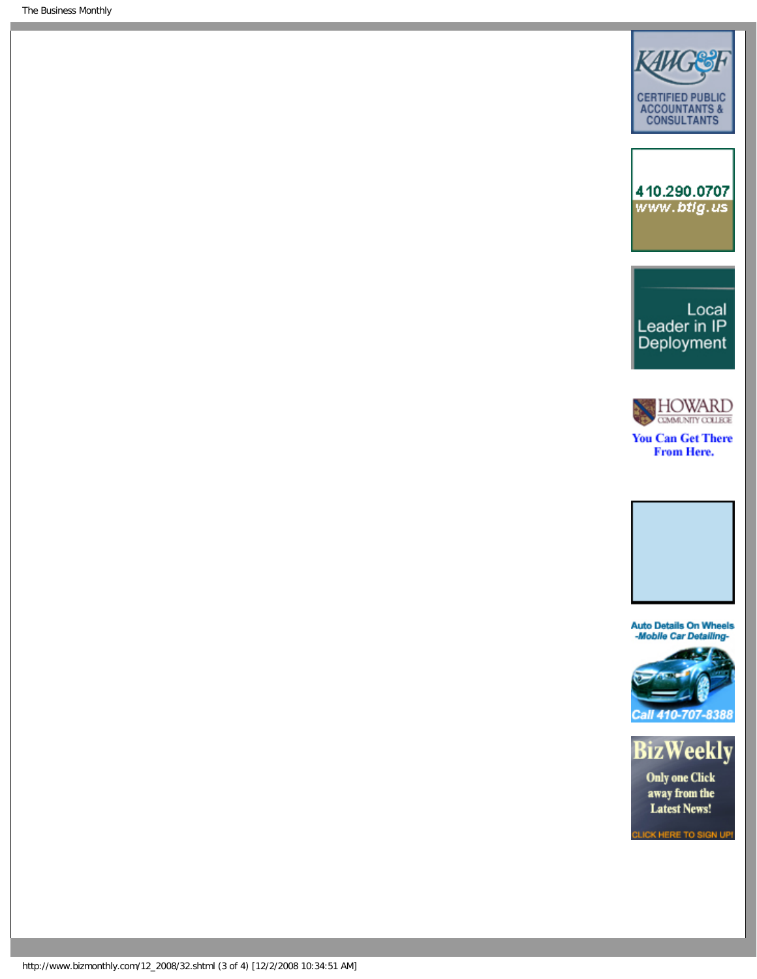The Business Monthly









**You Can Get There From Here.** 



**Auto Details On Wheels<br>-Mobile Car Detailing-**